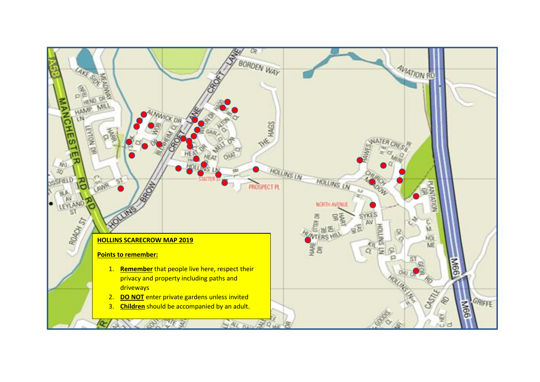